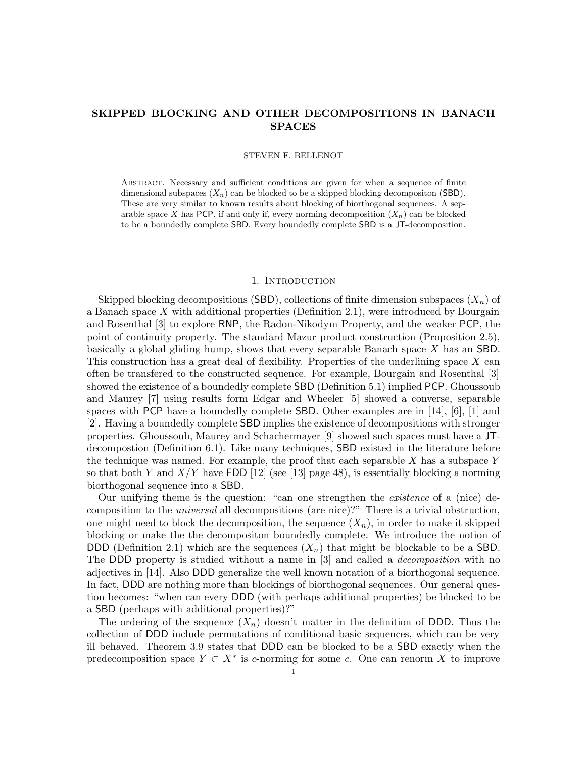# **SKIPPED BLOCKING AND OTHER DECOMPOSITIONS IN BANACH SPACES**

#### STEVEN F. BELLENOT

Abstract. Necessary and sufficient conditions are given for when a sequence of finite dimensional subspaces  $(X_n)$  can be blocked to be a skipped blocking decompositon (SBD). These are very similar to known results about blocking of biorthogonal sequences. A separable space X has PCP, if and only if, every norming decomposition  $(X_n)$  can be blocked to be a boundedly complete SBD. Every boundedly complete SBD is a JT-decomposition.

#### 1. INTRODUCTION

Skipped blocking decompositions (SBD), collections of finite dimension subspaces  $(X_n)$  of a Banach space X with additional properties (Definition 2.1), were introduced by Bourgain and Rosenthal [3] to explore RNP, the Radon-Nikodym Property, and the weaker PCP, the point of continuity property. The standard Mazur product construction (Proposition 2.5), basically a global gliding hump, shows that every separable Banach space X has an SBD. This construction has a great deal of flexibility. Properties of the underlining space  $X$  can often be transfered to the constructed sequence. For example, Bourgain and Rosenthal [3] showed the existence of a boundedly complete SBD (Definition 5.1) implied PCP. Ghoussoub and Maurey [7] using results form Edgar and Wheeler [5] showed a converse, separable spaces with PCP have a boundedly complete SBD. Other examples are in [14], [6], [1] and [2]. Having a boundedly complete SBD implies the existence of decompositions with stronger properties. Ghoussoub, Maurey and Schachermayer [9] showed such spaces must have a JTdecompostion (Definition 6.1). Like many techniques, SBD existed in the literature before the technique was named. For example, the proof that each separable  $X$  has a subspace  $Y$ so that both Y and  $X/Y$  have FDD [12] (see [13] page 48), is essentially blocking a norming biorthogonal sequence into a SBD.

Our unifying theme is the question: "can one strengthen the *existence* of a (nice) decomposition to the *universal* all decompositions (are nice)?" There is a trivial obstruction, one might need to block the decomposition, the sequence  $(X_n)$ , in order to make it skipped blocking or make the the decompositon boundedly complete. We introduce the notion of DDD (Definition 2.1) which are the sequences  $(X_n)$  that might be blockable to be a SBD. The DDD property is studied without a name in [3] and called a *decomposition* with no adjectives in [14]. Also DDD generalize the well known notation of a biorthogonal sequence. In fact, DDD are nothing more than blockings of biorthogonal sequences. Our general question becomes: "when can every DDD (with perhaps additional properties) be blocked to be a SBD (perhaps with additional properties)?"

The ordering of the sequence  $(X_n)$  doesn't matter in the definition of DDD. Thus the collection of DDD include permutations of conditional basic sequences, which can be very ill behaved. Theorem 3.9 states that DDD can be blocked to be a SBD exactly when the predecomposition space  $Y \subset X^*$  is c-norming for some c. One can renorm X to improve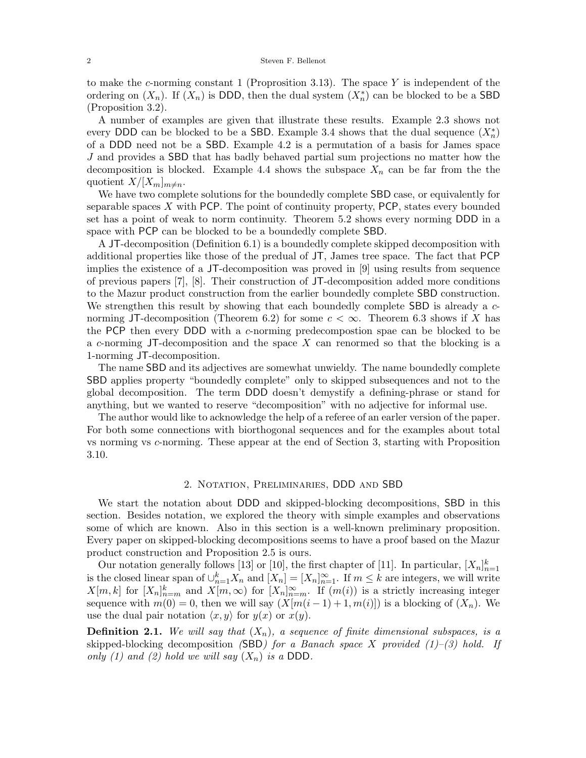to make the c-norming constant 1 (Proprosition 3.13). The space Y is independent of the ordering on  $(X_n)$ . If  $(X_n)$  is DDD, then the dual system  $(X_n^*)$  can be blocked to be a SBD (Proposition 3.2) (Proposition 3.2).

A number of examples are given that illustrate these results. Example 2.3 shows not every DDD can be blocked to be a SBD. Example 3.4 shows that the dual sequence  $(X_n^*)$ <br>of a DDD need not be a SBD. Example 4.2 is a permutation of a basis for James space of a DDD need not be a SBD. Example 4.2 is a permutation of a basis for James space J and provides a SBD that has badly behaved partial sum projections no matter how the decomposition is blocked. Example 4.4 shows the subspace  $X_n$  can be far from the the quotient  $X/[X_m]_{m \neq n}$ .

We have two complete solutions for the boundedly complete SBD case, or equivalently for separable spaces  $X$  with PCP. The point of continuity property, PCP, states every bounded set has a point of weak to norm continuity. Theorem 5.2 shows every norming DDD in a space with PCP can be blocked to be a boundedly complete SBD.

A JT-decomposition (Definition 6.1) is a boundedly complete skipped decomposition with additional properties like those of the predual of JT, James tree space. The fact that PCP implies the existence of a JT-decomposition was proved in [9] using results from sequence of previous papers [7], [8]. Their construction of JT-decomposition added more conditions to the Mazur product construction from the earlier boundedly complete SBD construction. We strengthen this result by showing that each boundedly complete **SBD** is already a cnorming JT-decomposition (Theorem 6.2) for some  $c < \infty$ . Theorem 6.3 shows if X has the PCP then every DDD with a c-norming predecompostion spae can be blocked to be a c-norming JT-decomposition and the space  $X$  can renormed so that the blocking is a 1-norming JT-decomposition.

The name SBD and its adjectives are somewhat unwieldy. The name boundedly complete SBD applies property "boundedly complete" only to skipped subsequences and not to the global decomposition. The term DDD doesn't demystify a defining-phrase or stand for anything, but we wanted to reserve "decomposition" with no adjective for informal use.

The author would like to acknowledge the help of a referee of an earler version of the paper. For both some connections with biorthogonal sequences and for the examples about total vs norming vs c-norming. These appear at the end of Section 3, starting with Proposition 3.10.

# 2. Notation, Preliminaries, DDD and SBD

We start the notation about DDD and skipped-blocking decompositions, SBD in this section. Besides notation, we explored the theory with simple examples and observations some of which are known. Also in this section is a well-known preliminary proposition. Every paper on skipped-blocking decompositions seems to have a proof based on the Mazur product construction and Proposition 2.5 is ours.

Our notation generally follows [13] or [10], the first chapter of [11]. In particular,  $[X_n]_{n=1}^k$ <br>the closed linear span of  $\mathbb{E}^k$ ,  $X$  and  $[X] = [X] \propto \text{If } m \leq k$  are integers, we will write is the closed linear span of  $\bigcup_{n=1}^{k} X_n$  and  $[X_n] = [X_n]_{n=1}^{\infty}$ . If  $m \leq k$  are integers, we will write<br> $X[m]_k$  for  $[X]_k$  and  $X[m]_{n=0}^{\infty}$  for  $[X]_{n=0}^{\infty}$ . If  $(m(i))$  is a strictly increasing integer  $X[m, k]$  for  $[X_n]_{n=m}^k$  and  $X[m, \infty)$  for  $[X_n]_{n=m}^{\infty}$ . If  $(m(i))$  is a strictly increasing integer<br>sequence with  $m(0) = 0$  then we will say  $(X[m(i-1)+1,m(i)])$  is a blocking of  $(X)$ . We sequence with  $m(0) = 0$ , then we will say  $(X[m(i-1)+1, m(i)])$  is a blocking of  $(X_n)$ . We use the dual pair notation  $\langle x, y \rangle$  for  $y(x)$  or  $x(y)$ .

**Definition 2.1.** We will say that  $(X_n)$ , a sequence of finite dimensional subspaces, is a skipped-blocking decomposition *(*SBD*) for a Banach space* X *provided (1)–(3) hold. If only (1) and (2) hold we will say*  $(X_n)$  *is a* DDD.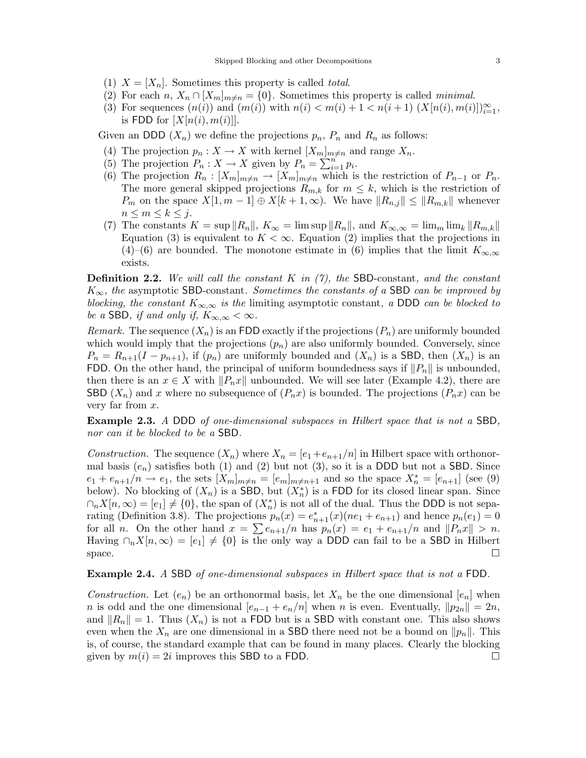- (1)  $X = [X_n]$ . Sometimes this property is called *total*.
- (2) For each  $n, X_n \cap [X_m]_{m \neq n} = \{0\}$ . Sometimes this property is called *minimal*.
- (3) For sequences  $(n(i))$  and  $(m(i))$  with  $n(i) < m(i) + 1 < n(i+1)$   $(X[n(i), m(i)])_{i=1}^{\infty}$ ,<br>is FDD for  $[X[n(i), m(i)]]$ is FDD for  $[X[n(i),m(i)]$ .

Given an DDD  $(X_n)$  we define the projections  $p_n$ ,  $P_n$  and  $R_n$  as follows:

- (4) The projection  $p_n : X \to X$  with kernel  $[X_m]_{m \neq n}$  and range  $X_n$ .
- (5) The projection  $P_n: X \to X$  given by  $P_n = \sum_{i=1}^n p_i$ .<br>(6) The projection  $R_i: [X] \to [X] \to [X]$  which is
- (6) The projection  $R_n : [X_m]_{m \neq n} \to [X_m]_{m \neq n}$  which is the restriction of  $P_{n-1}$  or  $P_n$ . The more general skipped projections  $R_{m,k}$  for  $m \leq k$ , which is the restriction of  $P_m$  on the space  $X[1, m-1] \oplus X[k+1, \infty)$ . We have  $||R_{n,j}|| \leq ||R_{m,k}||$  whenever  $n \leq m \leq k \leq j$ .
- (7) The constants  $K = \sup ||R_n||$ ,  $K_\infty = \limsup ||R_n||$ , and  $K_{\infty,\infty} = \lim_{m \to \infty} \lim_{k \to \infty} \|R_{m,k}\|$ Equation (3) is equivalent to  $K < \infty$ . Equation (2) implies that the projections in (4)–(6) are bounded. The monotone estimate in (6) implies that the limit  $K_{\infty,\infty}$ exists.

**Definition 2.2.** *We will call the constant* K *in (7), the* SBD-constant*, and the constant* <sup>K</sup>∞*, the* asymptotic SBD-constant*. Sometimes the constants of a* SBD *can be improved by blocking, the constant*  $K_{\infty,\infty}$  *is the limiting asymptotic constant, a DDD can be blocked to be a* SBD, if and only if,  $K_{\infty,\infty} < \infty$ .

*Remark.* The sequence  $(X_n)$  is an FDD exactly if the projections  $(P_n)$  are uniformly bounded which would imply that the projections  $(p_n)$  are also uniformly bounded. Conversely, since  $P_n = R_{n+1}(I - p_{n+1}),$  if  $(p_n)$  are uniformly bounded and  $(X_n)$  is a SBD, then  $(X_n)$  is an FDD. On the other hand, the principal of uniform boundedness says if  $||P_n||$  is unbounded, then there is an  $x \in X$  with  $\|P_n x\|$  unbounded. We will see later (Example 4.2), there are SBD  $(X_n)$  and x where no subsequence of  $(P_n x)$  is bounded. The projections  $(P_n x)$  can be very far from  $x$ .

**Example 2.3.** *A* DDD *of one-dimensional subspaces in Hilbert space that is not a* SBD*, nor can it be blocked to be a* SBD*.*

*Construction.* The sequence  $(X_n)$  where  $X_n = [e_1 + e_{n+1}/n]$  in Hilbert space with orthonormal basis  $(e_n)$  satisfies both (1) and (2) but not (3), so it is a DDD but not a SBD. Since  $e_1 + e_{n+1}/n \to e_1$ , the sets  $[X_m]_{m \neq n} = [e_m]_{m \neq n+1}$  and so the space  $X_n^* = [e_{n+1}]$  (see (9)<br>below). No blocking of  $(X)$  is a SBD but  $(X^*)$  is a FDD for its closed linear span. Since below). No blocking of  $(X_n)$  is a SBD, but  $(X_n^*)$  is a FDD for its closed linear span. Since  $\bigcap X[n,\infty) - [e_1] \neq \{0\}$  the span of  $(X^*)$  is not all of the dual. Thus the DDD is not sepa- $\bigcap_n X[n,\infty) = [e_1] \neq \{0\}$ , the span of  $(X_n^*)$  is not all of the dual. Thus the DDD is not sepa-<br>rating (Definition 3.8). The projections  $p(x) = e^*$ ,  $(x)(pe_1 + e_{n+1})$  and hence  $p(e_1) = 0$ rating (Definition 3.8). The projections  $p_n(x) = e_{n+1}^*(x)(ne_1 + e_{n+1})$  and hence  $p_n(e_1) = 0$ <br>for all n. On the other hand  $x = \sum_{n=1}^{\infty} (x)$  has n  $(x) = e_1 + e_{n+1}/n$  and  $||P||_F||_F \ge n$ for all *n*. On the other hand  $x = \sum_{n+1}^{\infty} e_{n+1}/n$  has  $p_n(x) = e_1 + e_{n+1}/n$  and  $||P_n x|| > n$ . Having  $\cap_n X[n,\infty)=[e_1] \neq \{0\}$  is the only way a DDD can fail to be a SBD in Hilbert space. space.  $\Box$ 

# **Example 2.4.** *A* SBD *of one-dimensional subspaces in Hilbert space that is not a* FDD*.*

*Construction.* Let  $(e_n)$  be an orthonormal basis, let  $X_n$  be the one dimensional  $[e_n]$  when n is odd and the one dimensional  $[e_{n-1} + e_n/n]$  when n is even. Eventually,  $||p_{2n}|| = 2n$ , and  $||R_n|| = 1$ . Thus  $(X_n)$  is not a FDD but is a SBD with constant one. This also shows even when the  $X_n$  are one dimensional in a SBD there need not be a bound on  $\|p_n\|$ . This is, of course, the standard example that can be found in many places. Clearly the blocking given by  $m(i)=2i$  improves this SBD to a FDD.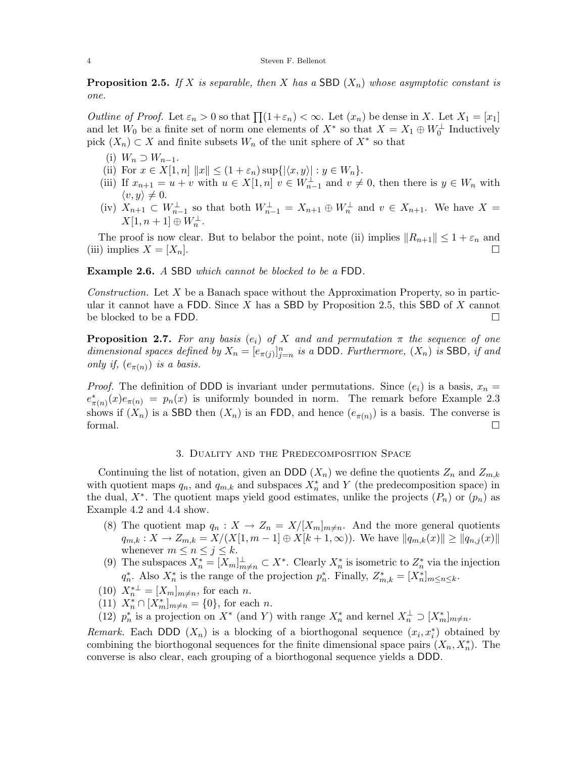**Proposition 2.5.** If X is separable, then X has a SBD  $(X_n)$  whose asymptotic constant is *one.*

*Outline of Proof.* Let  $\varepsilon_n > 0$  so that  $\prod_{i=1}^{n} (1+\varepsilon_n) < \infty$ . Let  $(x_n)$  be dense in X. Let  $X_1 = [x_1]$ and let  $W_0$  be a finite set of norm one elements of  $X^*$  so that  $X = X_1 \oplus W_0^{\perp}$  Inductively pick  $(X \cap \subset X)$  and finite subsets  $W$  of the unit sphere of  $X^*$  so that pick  $(X_n) \subset X$  and finite subsets  $W_n$  of the unit sphere of  $X^*$  so that

- (i)  $W_n \supset W_{n-1}$ .
- (ii) For  $x \in X[1, n] \|x\| \le (1 + \varepsilon_n) \sup\{|\langle x, y \rangle| : y \in W_n\}.$ <br>
(iii) If  $x \to x + y$  with  $y \in X[1, n]$   $y \in W^{\perp}$  and  $y \ne$
- (iii) If  $x_{n+1} = u + v$  with  $u \in X[1,n]$   $v \in W_{n-1}^{\perp}$  and  $v \neq 0$ , then there is  $y \in W_n$  with  $\langle v, y \rangle \neq 0.$ <br> **Y**  $\cdot \cdot \cdot \subset V$
- (iv)  $X_{n+1} \subset W_{n-1}^{\perp}$  so that both  $W_{n-1}^{\perp} = X_{n+1} \oplus W_n^{\perp}$  and  $v \in X_{n+1}$ . We have  $X = Y_{n+1} \cap W_{n-1}^{\perp}$  $X[1, n+1] \oplus W_n^{\perp}.$

The proof is now clear. But to belabor the point, note (ii) implies  $||R_{n+1}|| \leq 1 + \varepsilon_n$  and<br>i) implies  $X - [X_n]$ (iii) implies  $X = [X_n]$ .

**Example 2.6.** *A* SBD *which cannot be blocked to be a* FDD*.*

*Construction.* Let X be a Banach space without the Approximation Property, so in particular it cannot have a FDD. Since X has a SBD by Proposition 2.5, this SBD of X cannot be blocked to be a FDD. be blocked to be a FDD.

**Proposition 2.7.** For any basis  $(e_i)$  of X and and permutation  $\pi$  the sequence of one *dimensional spaces defined by*  $X_n = [e_{\pi(j)}]_{j=n}^n$  *is a DDD. Furthermore,*  $(X_n)$  *is* SBD*, if and* only if  $(e_{\pi(i)})$  is a basis *only if,*  $(e_{\pi(n)})$  *is a basis.* 

*Proof.* The definition of DDD is invariant under permutations. Since  $(e_i)$  is a basis,  $x_n =$  $e^*_{\pi(n)}(x)e_{\pi(n)} = p_n(x)$  is uniformly bounded in norm. The remark before Example 2.3 shows if  $(X_n)$  is a SBD then  $(X_n)$  is an FDD, and hence  $(e_{\pi(n)})$  is a basis. The converse is formal. formal.

#### 3. Duality and the Predecomposition Space

Continuing the list of notation, given an DDD  $(X_n)$  we define the quotients  $Z_n$  and  $Z_{m,k}$ with quotient maps  $q_n$ , and  $q_{m,k}$  and subspaces  $X_n^*$  and Y (the predecomposition space) in<br>the dual  $X^*$ . The quotient maps yield good estimates, unlike the projects  $(P \rvert)$  or  $(n \rvert)$  as the dual,  $X^*$ . The quotient maps yield good estimates, unlike the projects  $(P_n)$  or  $(p_n)$  as Example 4.2 and 4.4 show.

- (8) The quotient map  $q_n: X \to Z_n = X/[X_m]_{m \neq n}$ . And the more general quotients  $q_{m,k}: X \to Z_{m,k} = X/(X[1,m-1] \oplus X[k+1,\infty))$ . We have  $||q_{m,k}(x)|| \geq ||q_{n,j}(x)||$ whenever  $m \leq n \leq j \leq k$ .
- (9) The subspaces  $X_n^* = [X_m]_{m \neq n}^{\perp} \subset X^*$ . Clearly  $X_n^*$  is isometric to  $Z_n^*$  via the injection  $C_n^*$ . Also  $X^*$  is the proper of the projection  $x^*$ . Finally,  $Z^* = [X^*]$  $q_n^*$ . Also  $X_n^*$  is the range of the projection  $p_n^*$ . Finally,  $Z_{m,k}^* = [X_n^*]_{m \leq n \leq k}$ .
- (10)  $X_n^{*\perp} = [X_m]_{m \neq n}$ , for each *n*.<br>(11)  $X^* \cap [X^*]_{\leq n} = \{0\}$  for each
- (11)  $X_n^* \cap [X_m^*]_{m \neq n} = \{0\}$ , for each *n*.<br>(12)  $x^*$  is a projection on  $Y^*$  (and V)
- (12)  $p_n^*$  is a projection on  $X^*$  (and Y) with range  $X_n^*$  and kernel  $X_n^{\perp} \supset [X_m^*]_{m \neq n}$ .

*Remark.* Each DDD  $(X_n)$  is a blocking of a biorthogonal sequence  $(x_i, x_i^*)$  obtained by combining the biorthogonal sequences for the finite dimensional space pairs  $(X, X^*)$ . The combining the biorthogonal sequences for the finite dimensional space pairs  $(X_n, X_n^*)$ . The converse is also clear, each grouping of a biorthogonal sequence yields a DDD converse is also clear, each grouping of a biorthogonal sequence yields a DDD.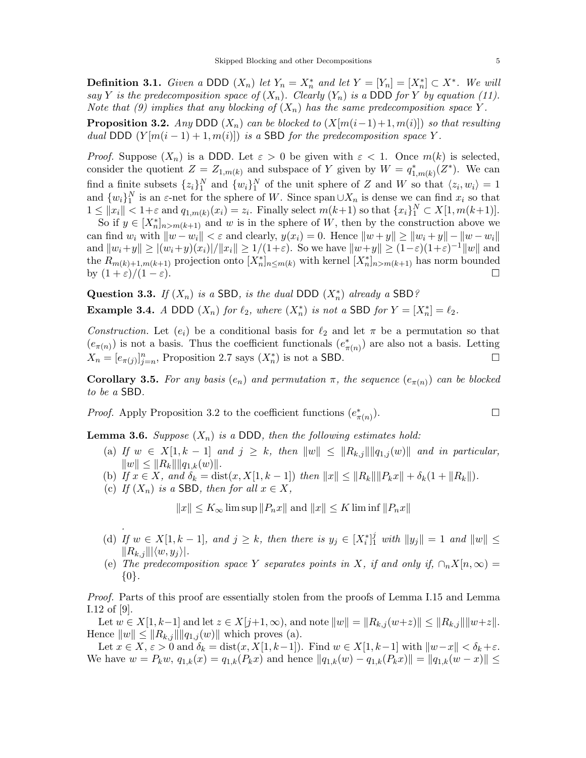**Definition 3.1.** *Given a* DDD  $(X_n)$  *let*  $Y_n = X_n^*$  *and let*  $Y = [Y_n] = [X_n^*] \subset X^*$ *. We will*  $\sup Y$  *is the predecomposition space of*  $(X_n)$  *Clearly*  $(Y_n)$  *is a* DDD for *Y* by equation (11) *say Y is the predecomposition space of*  $(X_n)$ *. Clearly*  $(Y_n)$  *is a* DDD *for Y by equation* (11). *Note that (9) implies that any blocking of*  $(X_n)$  *has the same predecomposition space* Y.

**Proposition 3.2.** *Any* DDD  $(X_n)$  *can be blocked to*  $(X[m(i-1)+1,m(i)])$  *so that resulting dual* DDD  $(Y[m(i-1)+1,m(i)])$  *is a* SBD *for the predecomposition space* Y.

*Proof.* Suppose  $(X_n)$  is a DDD. Let  $\varepsilon > 0$  be given with  $\varepsilon < 1$ . Once  $m(k)$  is selected, consider the quotient  $Z = Z_{1,m(k)}$  and subspace of Y given by  $W = q_{1,m(k)}^*(Z^*)$ . We can find a finite subsets  $\{z_i\}_1^N$  and  $\{w_i\}_1^N$  of the unit sphere of Z and W so that  $\langle z_i, w_i \rangle = 1$ <br>and  $\{w_i\}_1^N$  is an e-net for the sphere of W. Since span  $\|X\|$  is dense we can find x, so that and  $\{w_i\}_1^N$  is an  $\varepsilon$ -net for the sphere of W. Since span  $\cup X_n$  is dense we can find  $x_i$  so that  $1 \leq ||x|| \leq 1 + \varepsilon$  and  $a_{i-1}(\overline{x_i}) = \overline{x_i}$ . Finally select  $m(k+1)$  so that  $\{x_i\}_1^N \subset X[1, m(k+1)]$  $1 \leq ||x_i|| < 1+\varepsilon$  and  $q_{1,m(k)}(x_i) = z_i$ . Finally select  $m(k+1)$  so that  $\{x_i\}^N \subset X[1, m(k+1)]$ .<br>So if  $y \in [X^*]$  construction above we

So if  $y \in [X_n^*]_{n>m(k+1)}$  and w is in the sphere of W, then by the construction above we<br>n find w, with  $||w - w|| < \varepsilon$  and clearly  $u(x) = 0$ . Hence  $||w + w|| > ||w + w|| - ||w - w||$ can find w<sub>i</sub> with  $\|w - w_i\| < \varepsilon$  and clearly,  $y(x_i) = 0$ . Hence  $\|w + y\| \ge \|w_i + y\| - \|w - w_i\|$ and  $||w_i+y|| \ge |(w_i+y)(x_i)|/||x_i|| \ge 1/(1+\varepsilon)$ . So we have  $||w+y|| \ge (1-\varepsilon)(1+\varepsilon)^{-1}||w||$  and the  $R_{m(k)+1,m(k+1)}$  projection onto  $[X_n^*]_{n \leq m(k)}$  with kernel  $[X_n^*]_{n > m(k+1)}$  has norm bounded<br>by  $(1+\varepsilon)/(1-\varepsilon)$ by  $(1+\varepsilon)/(1-\varepsilon)$ .

**Question 3.3.** *If*  $(X_n)$  *is a* SBD*, is the dual DDD*  $(X_n^*)$  *already a* SBD? **Example 3.4.** *A* DDD  $(X_n)$  *for*  $\ell_2$ *, where*  $(X_n^*)$  *is not a* SBD *for*  $Y = [X_n^*] = \ell_2$ *.* 

*Construction.* Let  $(e_i)$  be a conditional basis for  $\ell_2$  and let  $\pi$  be a permutation so that  $(e_{\pi(n)})$  is not a basis. Thus the coefficient functionals  $(e_{\pi(n)}^*)$  are also not a basis. Letting  $Y$   $\qquad \qquad$  $X_n = [e_{\pi(j)}]_{j=n}^n$ , Proposition 2.7 says  $(X_n^*)$  is not a SBD.

**Corollary 3.5.** For any basis  $(e_n)$  and permutation  $\pi$ , the sequence  $(e_{\pi(n)})$  can be blocked *to be a* SBD*.*

*Proof.* Apply Proposition 3.2 to the coefficient functions  $(e^*_{\pi(n)})$ .  $(\pi(n))$ .

**Lemma 3.6.** *Suppose*  $(X_n)$  *is a* DDD*, then the following estimates hold:* 

- (a) *If*  $w \in X[1, k-1]$  *and*  $j \geq k$ , *then*  $||w|| \leq ||R_{k,j}|| ||q_{1,j}(w)||$  *and in particular,*  $||w|| \leq ||R_k|| ||q_{1,k}(w)||.$
- (b) *If*  $x \in X$ *, and*  $\delta_k = \text{dist}(x, X[1, k-1])$  *then*  $||x|| \leq ||R_k|| ||P_kx|| + \delta_k(1 + ||R_k||)$ *.*
- (c) *If*  $(X_n)$  *is a* SBD*, then for all*  $x \in X$ *,*

*.*

 $||x|| \le K_\infty$  lim sup  $||P_nx||$  and  $||x|| \le K$  lim inf  $||P_nx||$ 

- (d) If  $w \in X[1, k-1]$ , and  $j \ge k$ , then there is  $y_j \in [X_i^*]_1^j$  with  $||y_j|| = 1$  and  $||w|| \le ||R_1|| ||w_2||$ .  $||R_{k,j}|| \langle w, y_j \rangle|.$
- (e) The predecomposition space Y separates points in X, if and only if,  $\cap_n X[n,\infty) =$ {0}*.*

*Proof.* Parts of this proof are essentially stolen from the proofs of Lemma I.15 and Lemma I.12 of [9].

Let  $w \in X[1, k-1]$  and let  $z \in X[j+1, \infty)$ , and note  $||w|| = ||R_{k,j}(w+z)|| \le ||R_{k,j}|| ||w+z||$ . Hence  $||w|| \leq ||R_{k,j}|| ||q_{1,j}(w)||$  which proves (a).

Let  $x \in X$ ,  $\varepsilon > 0$  and  $\delta_k = \text{dist}(x, X[1, k-1])$ . Find  $w \in X[1, k-1]$  with  $\|w-x\| < \delta_k + \varepsilon$ . We have  $w = P_k w$ ,  $q_{1,k}(x) = q_{1,k}(P_k x)$  and hence  $||q_{1,k}(w) - q_{1,k}(P_k x)|| = ||q_{1,k}(w - x)|| \le$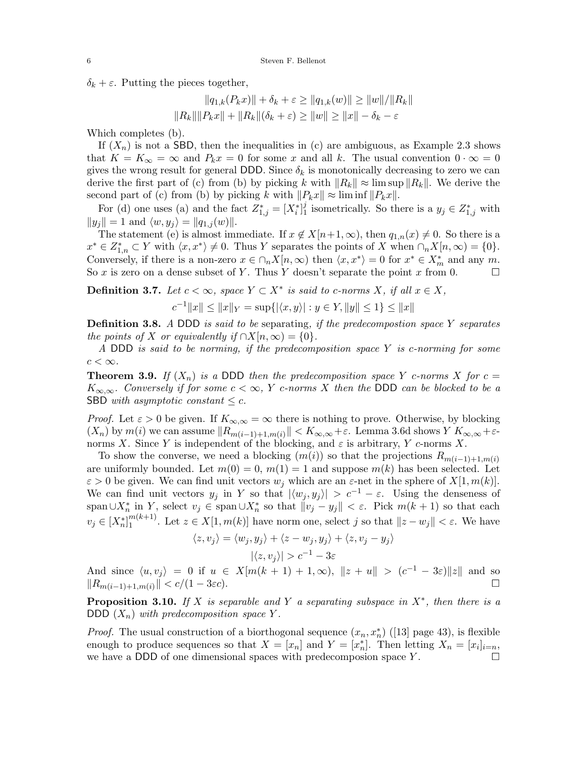$\delta_k + \varepsilon$ . Putting the pieces together,

$$
||q_{1,k}(P_k x)|| + \delta_k + \varepsilon \ge ||q_{1,k}(w)|| \ge ||w|| / ||R_k||
$$
  

$$
||R_k|| ||P_k x|| + ||R_k||(\delta_k + \varepsilon) \ge ||w|| \ge ||x|| - \delta_k - \varepsilon
$$

Which completes (b).

If  $(X_n)$  is not a SBD, then the inequalities in (c) are ambiguous, as Example 2.3 shows that  $K = K_{\infty} = \infty$  and  $P_k x = 0$  for some x and all k. The usual convention  $0 \cdot \infty = 0$ gives the wrong result for general DDD. Since  $\delta_k$  is monotonically decreasing to zero we can derive the first part of (c) from (b) by picking k with  $||R_k|| \approx \limsup ||R_k||$ . We derive the second part of (c) from (b) by picking k with  $||P_kx|| \approx \liminf ||P_kx||$ .

For (d) one uses (a) and the fact  $Z_{1,j}^* = [X_i^*]_1^j$  isometrically. So there is a  $y_j \in Z_{1,j}^*$  with  $d = 1$  and  $\langle w, w \rangle = ||\alpha_{1,j}(w)||$  $||y_j|| = 1$  and  $\langle w, y_j \rangle = ||q_{1,j}(w)||.$ 

The statement (e) is almost immediate. If  $x \notin X[n+1,\infty)$ , then  $q_{1,n}(x) \neq 0$ . So there is a  $x^* \in Z_{1,n}^* \subset Y$  with  $\langle x, x^* \rangle \neq 0$ . Thus Y separates the points of X when  $\cap_n X[n, \infty) = \{0\}$ .<br>Conversely if there is a non-zero  $x \in \Omega$ . Y[n, ∞) then  $\langle x, x^* \rangle = 0$  for  $x^* \subset X^*$  and any m Conversely, if there is a non-zero  $x \in \bigcap_n X[n,\infty)$  then  $\langle x, x^* \rangle = 0$  for  $x^* \in X^*_m$  and any m.<br>So x is zero on a dense subset of Y. Thus Y doesn't separate the point x from 0. So x is zero on a dense subset of Y. Thus Y doesn't separate the point x from 0.  $\Box$ 

**Definition 3.7.** *Let*  $c < \infty$ *, space*  $Y \subset X^*$  *is said to c-norms*  $X$ *, if all*  $x \in X$ *,* 

$$
c^{-1}||x|| \le ||x||_Y = \sup\{|\langle x, y \rangle| : y \in Y, ||y|| \le 1\} \le ||x||
$$

**Definition 3.8.** *<sup>A</sup>* DDD *is said to be* separating*, if the predecompostion space* Y *separates the points of* X *or equivalently if*  $\cap X[n,\infty) = \{0\}.$ 

*<sup>A</sup>* DDD *is said to be norming, if the predecomposition space* Y *is* c*-norming for some*  $c < \infty$ .

**Theorem 3.9.** If  $(X_n)$  is a DDD then the predecomposition space Y c-norms X for  $c =$  $K_{\infty,\infty}$ *. Conversely if for some*  $c < \infty$ , Y c-norms X then the DDD can be blocked to be a SBD *with asymptotic constant*  $\leq c$ .

*Proof.* Let  $\varepsilon > 0$  be given. If  $K_{\infty,\infty} = \infty$  there is nothing to prove. Otherwise, by blocking  $(X_n)$  by  $m(i)$  we can assume  $||R_{m(i-1)+1,m(i)}|| < K_{\infty,\infty}+\varepsilon$ . Lemma 3.6d shows  $Y K_{\infty,\infty}+\varepsilon$ norms X. Since Y is independent of the blocking, and  $\varepsilon$  is arbitrary, Y c-norms X.

To show the converse, we need a blocking  $(m(i))$  so that the projections  $R_{m(i-1)+1,m(i)}$ are uniformly bounded. Let  $m(0) = 0$ ,  $m(1) = 1$  and suppose  $m(k)$  has been selected. Let  $\varepsilon > 0$  be given. We can find unit vectors  $w_j$  which are an  $\varepsilon$ -net in the sphere of  $X[1, m(k)]$ . We can find unit vectors  $y_j$  in Y so that  $|\langle w_j , y_j \rangle| > c^{-1} - \varepsilon$ . Using the denseness of span $\bigcup X_n^*$  in Y, select  $v_j \in \text{span}\bigcup X_n^*$  so that  $||v_j - y_j|| < \varepsilon$ . Pick  $m(k+1)$  so that each  $\bigcup_{i=1}^k X_i^*$  $v_j \in [X_n^*]_1^{m(k+1)}$ . Let  $z \in X[1, m(k)]$  have norm one, select j so that  $||z - w_j|| < \varepsilon$ . We have

$$
\langle z, v_j \rangle = \langle w_j, y_j \rangle + \langle z - w_j, y_j \rangle + \langle z, v_j - y_j \rangle
$$

$$
|\langle z, v_j \rangle| > c^{-1} - 3\varepsilon
$$

And since  $\langle u, v_j \rangle = 0$  if  $u \in X[m(k + 1) + 1, \infty)$ ,  $||z + u|| > (c^{-1} - 3\varepsilon) ||z||$  and so  $||R(u, v_1)|| \le c/(1 - 3\varepsilon c)$  $||R_{m(i-1)+1,m(i)}|| < c/(1-3\varepsilon c).$ 

**Proposition 3.10.** *If* X *is separable and* Y *a separating subspace in* X∗*, then there is a* DDD  $(X_n)$  *with predecomposition space* Y.

*Proof.* The usual construction of a biorthogonal sequence  $(x_n, x_n^*)$  ([13] page 43), is flexible enough to produce sequences so that  $X = [x]$  and  $Y = [x^*]$ . Then letting  $X = [x]$ . enough to produce sequences so that  $X = [x_n]$  and  $Y = [x_n^*]$ . Then letting  $X_n = [x_i]_{i=n}$ , we have a DDD of one dimensional spaces with predecomposion space Y we have a DDD of one dimensional spaces with predecomposion space  $Y$ .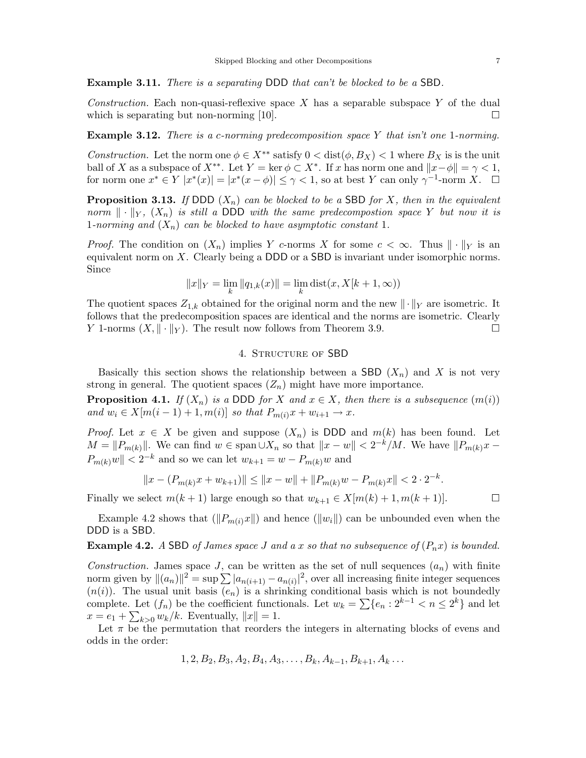**Example 3.11.** *There is a separating* DDD *that can't be blocked to be a* SBD*.*

*Construction.* Each non-quasi-reflexive space X has a separable subspace Y of the dual which is separating but non-norming [10]. which is separating but non-norming [10].

**Example 3.12.** *There is a* c*-norming predecomposition space* Y *that isn't one* <sup>1</sup>*-norming.*

*Construction.* Let the norm one  $\phi \in X^{**}$  satisfy  $0 < \text{dist}(\phi, B_X) < 1$  where  $B_X$  is is the unit ball of X as a subspace of  $X^{**}$ . Let  $Y = \ker \phi \subset X^*$ . If x has norm one and  $||x - \phi|| = \gamma < 1$ , for norm one  $x^* \in Y |x^*(x)| = |x^*(x - \phi)| \leq \gamma < 1$ , so at best Y can only  $\gamma^{-1}$ -norm X.  $\square$ 

**Proposition 3.13.** *If* DDD  $(X_n)$  *can be blocked to be a* SBD *for* X*, then in the equivalent norm*  $\|\cdot\|_Y$ ,  $(X_n)$  *is still a* DDD *with the same predecompostion space* Y *but now it is* 1*-norming and*  $(X_n)$  *can be blocked to have asymptotic constant* 1*.* 

*Proof.* The condition on  $(X_n)$  implies Y c-norms X for some  $c < \infty$ . Thus  $\|\cdot\|_Y$  is an equivalent norm on X. Clearly being a DDD or a SBD is invariant under isomorphic norms. Since

$$
||x||_Y = \lim_{k} ||q_{1,k}(x)|| = \lim_{k} \text{dist}(x, X[k+1, \infty))
$$

The quotient spaces  $Z_{1,k}$  obtained for the original norm and the new  $\|\cdot\|_Y$  are isometric. It follows that the predecomposition spaces are identical and the norms are isometric. Clearly Y 1-norms  $(X, \|\cdot\|_Y)$ . The result now follows from Theorem 3.9.

# 4. Structure of SBD

Basically this section shows the relationship between a SBD  $(X_n)$  and X is not very strong in general. The quotient spaces  $(Z_n)$  might have more importance.

**Proposition 4.1.** *If*  $(X_n)$  *is a* DDD *for* X *and*  $x \in X$ *, then there is a subsequence*  $(m(i))$ *and*  $w_i \in X[m(i-1)+1, m(i)]$  *so that*  $P_{m(i)}x + w_{i+1} \to x$ .

*Proof.* Let  $x \in X$  be given and suppose  $(X_n)$  is DDD and  $m(k)$  has been found. Let  $M = ||P_{m(k)}||$ . We can find  $w \in \text{span} \cup X_n$  so that  $||x - w|| < 2^{-k}/M$ . We have  $||P_{m(k)}x - w||$  $P_{m(k)}w \| < 2^{-k}$  and so we can let  $w_{k+1} = w - P_{m(k)}w$  and

$$
||x - (P_{m(k)}x + w_{k+1})|| \le ||x - w|| + ||P_{m(k)}w - P_{m(k)}x|| < 2 \cdot 2^{-k}.
$$

Finally we select  $m(k + 1)$  large enough so that  $w_{k+1} \in X[m(k) + 1, m(k + 1)]$ .

Example 4.2 shows that  $(\Vert P_{m(i)}x\Vert)$  and hence  $(\Vert w_i\Vert)$  can be unbounded even when the DDD is a SBD.

**Example 4.2.** *A* SBD *of James space J and a* x *so that no subsequence of*  $(P_n x)$  *is bounded.* 

*Construction.* James space J, can be written as the set of null sequences  $(a_n)$  with finite norm given by  $||(a_n)||^2 = \sup \sum |a_{n(i+1)} - a_{n(i)}|^2$ , over all increasing finite integer sequences  $(n(i))$ . The usual unit basis  $(e_n)$  is a shrinking conditional basis which is not boundedly complete. Let  $(f_n)$  be the coefficient functionals. Let  $w_k = \sum \{e_n : 2^{k-1} \leq n \leq 2^k\}$  and let  $x = e_1 + \sum_{k>0} w_k/k$ . Eventually,  $||x|| = 1$ .<br>Let  $\pi$  be the permutation that reorders

Let  $\pi$  be the permutation that reorders the integers in alternating blocks of evens and odds in the order:

$$
1, 2, B_2, B_3, A_2, B_4, A_3, \ldots, B_k, A_{k-1}, B_{k+1}, A_k \ldots
$$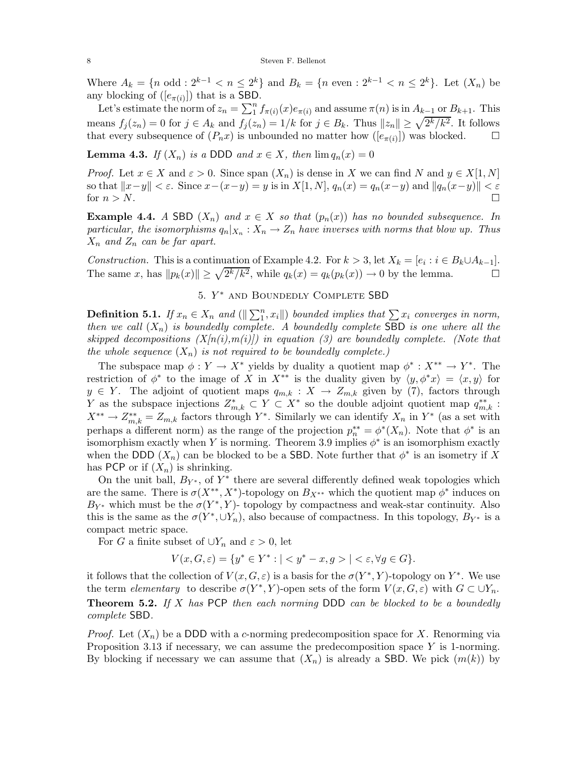Where  $A_k = \{n \text{ odd}: 2^{k-1} < n \leq 2^k\}$  and  $B_k = \{n \text{ even}: 2^{k-1} < n \leq 2^k\}$ . Let  $(X_n)$  be any blocking of  $([e_{\pi(i)}])$  that is a SBD.

Let's estimate the norm of  $z_n = \sum_{1}^{n} f_{\pi(i)}(x) e_{\pi(i)}$  and assume  $\pi(n)$  is in  $A_{k-1}$  or  $B_{k+1}$ . This means  $f_j(z_n) = 0$  for  $j \in A_k$  and  $f_j(z_n) = 1/k$  for  $j \in B_k$ . Thus  $||z_n|| \geq \sqrt{2^k/k^2}$ . It follows that every subsequence of  $(P_n x)$  is unbounded no matter how  $([e_{\pi(i)}])$  was blocked. that every subsequence of  $(P_n x)$  is unbounded no matter how  $([e_{\pi(i)}])$  was blocked.

**Lemma 4.3.** *If*  $(X_n)$  *is a* DDD *and*  $x \in X$ *, then*  $\lim q_n(x) = 0$ 

*Proof.* Let  $x \in X$  and  $\varepsilon > 0$ . Since span  $(X_n)$  is dense in X we can find N and  $y \in X[1, N]$ so that  $||x-y|| < \varepsilon$ . Since  $x-(x-y) = y$  is in  $X[1, N]$ ,  $q_n(x) = q_n(x-y)$  and  $||q_n(x-y)|| < \varepsilon$ <br>for  $n > N$ . for  $n>N$ .

**Example 4.4.** *A* SBD  $(X_n)$  *and*  $x \in X$  *so that*  $(p_n(x))$  *has no bounded subsequence. In particular, the isomorphisms*  $q_n|_{X_n}: X_n \to Z_n$  *have inverses with norms that blow up. Thus*  $X_n$  *and*  $Z_n$  *can be far apart.* 

*Construction.* This is a continuation of Example 4.2. For  $k > 3$ , let  $X_k = [e_i : i \in B_k \cup A_{k-1}]$ .<br>The same x, has  $||p_k(x)|| > \sqrt{2^k/k^2}$ , while  $q_k(x) = q_k(p_k(x)) \to 0$  by the lemma. The same x, has  $||p_k(x)|| \ge \sqrt{2^k/k^2}$ , while  $q_k(x) = q_k(p_k(x)) \to 0$  by the lemma.

# 5.  $Y^*$  and BOUNDEDLY COMPLETE SBD

**Definition 5.1.** *If*  $x_n \in X_n$  and  $(\Vert \sum_{i=1}^{n} x_i \Vert)$  bounded implies that  $\sum x_i$  *converges in norm,*<br>then we call  $(X_i)$  is boundedly complete. A boundedly complete SBD is one where all the *then we call*  $(X_n)$  *is boundedly complete. A boundedly complete* SBD *is one where all the skipped decompositions*  $(X[n(i),m(i)])$  *in equation (3) are boundedly complete. (Note that the whole sequence*  $(X_n)$  *is not required to be boundedly complete.*)

The subspace map  $\phi: Y \to X^*$  yields by duality a quotient map  $\phi^*: X^{**} \to Y^*$ . The restriction of  $\phi^*$  to the image of X in X<sup>\*\*</sup> is the duality given by  $\langle y, \phi^* x \rangle = \langle x, y \rangle$  for  $y \in Y$ . The adjoint of quotient maps  $q_{m,k}: X \to Z_{m,k}$  given by (7), factors through Y as the subspace injections  $Z_{m,k}^* \subset Y \subset X^*$  so the double adjoint quotient map  $q_{m,k}^{**}:$ <br> $X^{**} = Z$ , factors through  $Y^*$ . Similarly we can identify  $Y$  in  $Y^*$  (as a set with  $X^{**} \to Z^{**}_{m,k} = Z_{m,k}$  factors through Y<sup>\*</sup>. Similarly we can identify  $X_n$  in Y<sup>\*</sup> (as a set with normal set of the projection  $x^{**} = \phi^*(X)$ ). Note that  $\phi^*$  is an perhaps a different norm) as the range of the projection  $p_{n}^{**} = \phi^*(X_n)$ . Note that  $\phi^*$  is an isomorphism exactly when Y is porming. Theorem 3.9 implies  $\phi^*$  is an isomorphism exactly isomorphism exactly when Y is norming. Theorem 3.9 implies  $\phi^*$  is an isomorphism exactly when the DDD  $(X_n)$  can be blocked to be a SBD. Note further that  $\phi^*$  is an isometry if X has PCP or if  $(X_n)$  is shrinking.

On the unit ball,  $B_{Y^*}$ , of  $Y^*$  there are several differently defined weak topologies which are the same. There is  $\sigma(X^{**}, X^*)$ -topology on  $B_{X^{**}}$  which the quotient map  $\phi^*$  induces on  $B_{Y^*}$  which must be the  $\sigma(Y^*, Y)$ - topology by compactness and weak-star continuity. Also this is the same as the  $\sigma(Y^*, \cup Y_n)$ , also because of compactness. In this topology,  $B_{Y^*}$  is a compact metric space.

For G a finite subset of  $\bigcup Y_n$  and  $\varepsilon > 0$ , let

$$
V(x, G, \varepsilon) = \{ y^* \in Y^* : |< y^* - x, g> | < \varepsilon, \forall g \in G \}.
$$

it follows that the collection of  $V(x, G, \varepsilon)$  is a basis for the  $\sigma(Y^*, Y)$ -topology on  $Y^*$ . We use the term *elementary* to describe  $\sigma(Y^*, Y)$ -open sets of the form  $V(x, G, \varepsilon)$  with  $G \subset \bigcup Y_n$ . **Theorem 5.2.** *If* X *has* PCP *then each norming* DDD *can be blocked to be a boundedly complete* SBD*.*

*Proof.* Let  $(X_n)$  be a DDD with a c-norming predecomposition space for X. Renorming via Proposition 3.13 if necessary, we can assume the predecomposition space  $Y$  is 1-norming. By blocking if necessary we can assume that  $(X_n)$  is already a SBD. We pick  $(m(k))$  by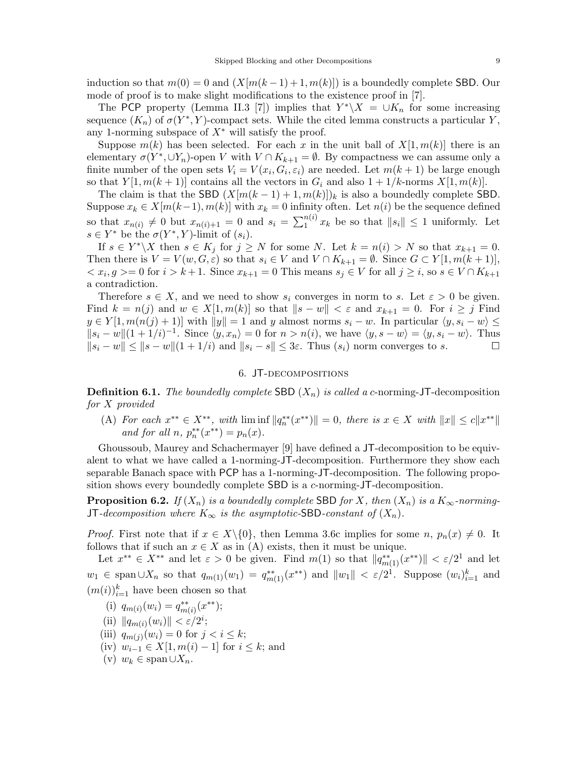induction so that  $m(0) = 0$  and  $(X[m(k-1)+1,m(k)])$  is a boundedly complete SBD. Our mode of proof is to make slight modifications to the existence proof in [7].

The PCP property (Lemma II.3 [7]) implies that  $Y^*\X = \bigcup K_n$  for some increasing sequence  $(K_n)$  of  $\sigma(Y^*, Y)$ -compact sets. While the cited lemma constructs a particular Y, any 1-norming subspace of  $X^*$  will satisfy the proof.

Suppose  $m(k)$  has been selected. For each x in the unit ball of  $X[1, m(k)]$  there is an elementary  $\sigma(Y^*, \cup Y_n)$ -open V with  $V \cap K_{k+1} = \emptyset$ . By compactness we can assume only a finite number of the open sets  $V_i = V(x_i, G_i, \varepsilon_i)$  are needed. Let  $m(k+1)$  be large enough so that  $Y[1, m(k+1)]$  contains all the vectors in  $G_i$  and also  $1 + 1/k$ -norms  $X[1, m(k)]$ .

The claim is that the SBD  $(X[m(k-1)+1,m(k)])_k$  is also a boundedly complete SBD. Suppose  $x_k \in X[m(k-1), m(k)]$  with  $x_k = 0$  infinity often. Let  $n(i)$  be the sequence defined so that  $x_{n(i)} \neq 0$  but  $x_{n(i)+1} = 0$  and  $s_i = \sum_{i=1}^{n(i)} x_k$  be so that  $||s_i|| \leq 1$  uniformly. Let  $s \in Y^*$  be the  $\sigma(Y^*, Y)$ -limit of  $(s_i)$ .

If  $s \in Y^*\backslash X$  then  $s \in K_j$  for  $j \geq N$  for some N. Let  $k = n(i) > N$  so that  $x_{k+1} = 0$ . Then there is  $V = V(w, G, \varepsilon)$  so that  $s_i \in V$  and  $V \cap K_{k+1} = \emptyset$ . Since  $G \subset Y[1, m(k+1)],$  $\langle x_i, g \rangle = 0$  for  $i > k+1$ . Since  $x_{k+1} = 0$  This means  $s_j \in V$  for all  $j \geq i$ , so  $s \in V \cap K_{k+1}$ a contradiction.

Therefore  $s \in X$ , and we need to show  $s_i$  converges in norm to s. Let  $\varepsilon > 0$  be given. Find  $k = n(j)$  and  $w \in X[1, m(k)]$  so that  $||s - w|| < \varepsilon$  and  $x_{k+1} = 0$ . For  $i \geq j$  Find  $y \in Y[1, m(n(j) + 1)]$  with  $||y|| = 1$  and y almost norms  $s_i - w$ . In particular  $\langle y, s_i - w \rangle \le$  $||s_i - w||(1 + 1/i)^{-1}$ . Since  $\langle y, x_n \rangle = 0$  for  $n > n(i)$ , we have  $\langle y, s - w \rangle = \langle y, s_i - w \rangle$ . Thus  $||s_i - w|| \le ||s - w||(1 + 1/i)$  and  $||s_i - s|| \le 3\varepsilon$ . Thus  $(s_i)$  norm converges to s. □  $||s_i - w|| \le ||s - w||(1 + 1/i)$  and  $||s_i - s|| \le 3\varepsilon$ . Thus  $(s_i)$  norm converges to s.

# 6. JT-decompositions

**Definition 6.1.** *The boundedly complete* SBD  $(X_n)$  *is called a c*-norming-JT-decomposition *for* X *provided*

(A) *For each*  $x^{**} \in X^{**}$ , with  $\liminf ||q_n^{**}(x^{**})|| = 0$ , there is  $x \in X$  with  $||x|| \le c||x^{**}||$ <br>and for all n  $x^{**}(x^{**}) = n(x)$ *and for all*  $n, p_n^{**}(x^{**}) = p_n(x)$ .

Ghoussoub, Maurey and Schachermayer [9] have defined a JT-decomposition to be equivalent to what we have called a 1-norming-JT-decomposition. Furthermore they show each separable Banach space with PCP has a 1-norming-JT-decomposition. The following proposition shows every boundedly complete SBD is a c-norming-JT-decomposition.

**Proposition 6.2.** *If*  $(X_n)$  *is a boundedly complete* SBD *for* X, *then*  $(X_n)$  *is a*  $K_{\infty}$ *-norming-*JT*-decomposition where*  $K_{\infty}$  *is the asymptotic-SBD-constant of*  $(X_n)$ *.* 

*Proof.* First note that if  $x \in X \setminus \{0\}$ , then Lemma 3.6c implies for some  $n, p_n(x) \neq 0$ . It follows that if such an  $x \in X$  as in (A) exists, then it must be unique.

Let  $x^{**} \in X^{**}$  and let  $\varepsilon > 0$  be given. Find  $m(1)$  so that  $||q_{m(1)}^{**}(x^{**})|| < \varepsilon/2^1$  and let  $w_1 \in \text{span}\cup X_n$  so that  $q_{m(1)}(w_1) = q_{m(1)}^{**}(x^{**})$  and  $||w_1|| < \varepsilon/2^1$ . Suppose  $(w_i)_{i=1}^k$  and  $(m(i))_{i=1}^k$  have been chosen so that

- (i)  $q_{m(i)}(w_i) = q_{m(i)}^{**}(x^{**});$ <br>∴;  $\qquad_{m(i)}(w_i) = q_{m(i)}^{**}(x^{**});$
- (ii)  $||q_{m(i)}(w_i)|| < \varepsilon/2^i;$ <br>(iii)  $g_{m(i)}(w_i) = 0$  for a
- (iii)  $q_{m(j)}(w_i) = 0$  for  $j < i \leq k$ ;
- (iv)  $w_{i-1} \in X[1, m(i) 1]$  for  $i \leq k$ ; and
- (v)  $w_k \in \text{span} \cup X_n$ .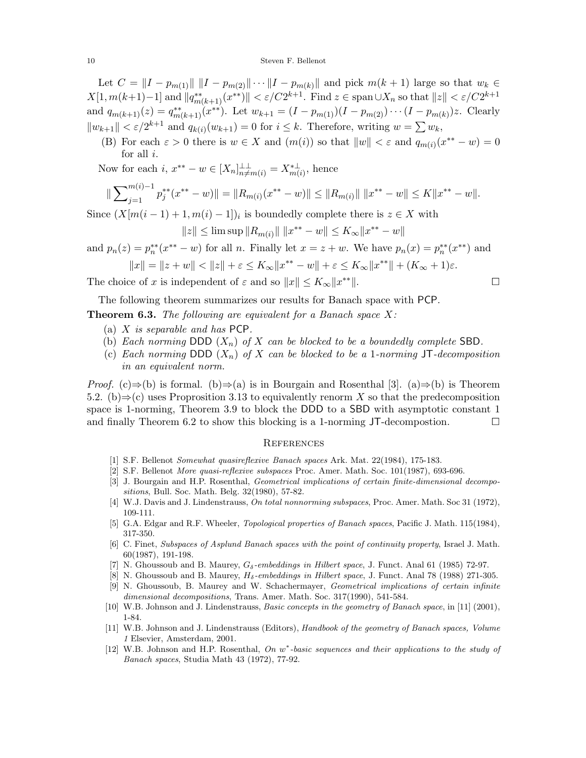#### 10 Steven F. Bellenot

Let  $C = ||I - p_{m(1)}|| ||I - p_{m(2)}|| \cdots ||I - p_{m(k)}||$  and pick  $m(k+1)$  large so that  $w_k \in$  $X[1, m(k+1)-1]$  and  $||q_{m(k+1)}^{**}(x^{**})|| < \varepsilon/C2^{k+1}$ . Find  $z \in \text{span }\cup X_n$  so that  $||z|| < \varepsilon/C2^{k+1}$ and  $q_{m(k+1)}(z) = q_{m(k+1)}^{**}(x^{**})$ . Let  $w_{k+1} = (I - p_{m(1)})(I - p_{m(2)}) \cdots (I - p_{m(k)})z$ . Clearly  $||w_{k+1}|| < \varepsilon/2^{k+1}$  and  $q_{k(i)}(w_{k+1}) = 0$  for  $i \leq k$ . Therefore, writing  $w = \sum w_k$ ,

(B) For each  $\varepsilon > 0$  there is  $w \in X$  and  $(m(i))$  so that  $||w|| < \varepsilon$  and  $q_{m(i)}(x^{**} - w) = 0$  for all *i*. for all  $i$ .

Now for each *i*,  $x^{**} - w \in [X_n]_{n \neq m(i)}^{\perp \perp} = X_{m(i)}^{* \perp}$ , hence

$$
\|\sum_{j=1}^{m(i)-1} p_j^{**}(x^{**}-w)\| = \|R_{m(i)}(x^{**}-w)\| \le \|R_{m(i)}\| \|x^{**}-w\| \le K\|x^{**}-w\|.
$$

Since  $(X[m(i-1)+1,m(i)-1])_i$  is boundedly complete there is  $z \in X$  with

$$
||z|| \le \limsup ||R_{m(i)}|| \, ||x^{**} - w|| \le K_{\infty} ||x^{**} - w||
$$

and  $p_n(z) = p_n^{**}(x^{**} - w)$  for all n. Finally let  $x = z + w$ . We have  $p_n(x) = p_n^{**}(x^{**})$  and

$$
||x|| = ||z + w|| < ||z|| + \varepsilon \le K_{\infty} ||x^{**} - w|| + \varepsilon \le K_{\infty} ||x^{**}|| + (K_{\infty} + 1)\varepsilon.
$$

The choice of x is independent of  $\varepsilon$  and so  $||x|| \le K_\infty ||x^{**}||$ .

The following theorem summarizes our results for Banach space with PCP. **Theorem 6.3.** *The following are equivalent for a Banach space* X*:*

- (a) X *is separable and has* PCP*.*
- (b) *Each norming* DDD  $(X_n)$  *of* X *can be blocked to be a boundedly complete* SBD.
- (c) *Each norming* DDD  $(X_n)$  *of* X *can be blocked to be a* 1*-norming* JT*-decomposition in an equivalent norm.*

*Proof.* (c)⇒(b) is formal. (b)⇒(a) is in Bourgain and Rosenthal [3]. (a)⇒(b) is Theorem 5.2. (b) $\Rightarrow$ (c) uses Proprosition 3.13 to equivalently renorm X so that the predecomposition space is 1-norming, Theorem 3.9 to block the DDD to a SBD with asymptotic constant 1 and finally Theorem 6.2 to show this blocking is a 1-norming JT-decompostion.  $\Box$ 

#### **REFERENCES**

- [1] S.F. Bellenot Somewhat quasireflexive Banach spaces Ark. Mat. 22(1984), 175-183.
- [2] S.F. Bellenot More quasi-reflexive subspaces Proc. Amer. Math. Soc. 101(1987), 693-696.
- [3] J. Bourgain and H.P. Rosenthal, *Geometrical implications of certain finite-dimensional decompo*sitions, Bull. Soc. Math. Belg. 32(1980), 57-82.
- [4] W.J. Davis and J. Lindenstrauss, On total nonnorming subspaces, Proc. Amer. Math. Soc 31 (1972), 109-111.
- [5] G.A. Edgar and R.F. Wheeler, Topological properties of Banach spaces, Pacific J. Math. 115(1984), 317-350.
- [6] C. Finet, Subspaces of Asplund Banach spaces with the point of continuity property, Israel J. Math. 60(1987), 191-198.
- [7] N. Ghoussoub and B. Maurey,  $G_{\delta}$ -embeddings in Hilbert space, J. Funct. Anal 61 (1985) 72-97.
- [8] N. Ghoussoub and B. Maurey,  $H_{\delta}$ -embeddings in Hilbert space, J. Funct. Anal 78 (1988) 271-305.
- [9] N. Ghoussoub, B. Maurey and W. Schachermayer, Geometrical implications of certain infinite dimensional decompositions, Trans. Amer. Math. Soc. 317(1990), 541-584.
- [10] W.B. Johnson and J. Lindenstrauss, Basic concepts in the geometry of Banach space, in [11] (2001), 1-84.
- [11] W.B. Johnson and J. Lindenstrauss (Editors), Handbook of the geometry of Banach spaces, Volume 1 Elsevier, Amsterdam, 2001.
- [12] W.B. Johnson and H.P. Rosenthal, On w<sup>\*</sup>-basic sequences and their applications to the study of Banach spaces, Studia Math 43 (1972), 77-92.